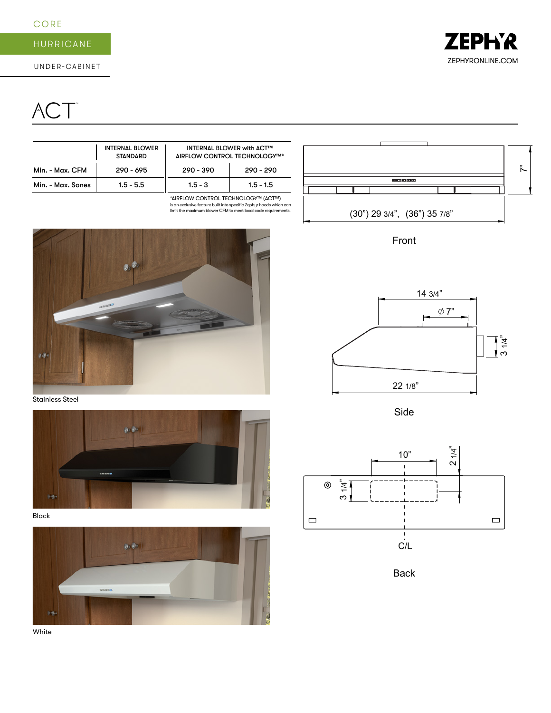### CORE

# HURRICANE

# ACT<sup>®</sup>

|                   | <b>INTERNAL BLOWER</b><br><b>STANDARD</b> | <b>INTERNAL BLOWER with ACT™</b><br>AIRFLOW CONTROL TECHNOLOGY™* |             |
|-------------------|-------------------------------------------|------------------------------------------------------------------|-------------|
| Min. - Max. CFM   | $290 - 695$                               | $290 - 390$                                                      | $290 - 290$ |
| Min. - Max. Sones | $1.5 - 5.5$                               | $1.5 - 3$                                                        | $1.5 - 1.5$ |

\*AIRFLOW CONTROL TECHNOLOGY™ (ACT™) is an exclusive feature built into specific Zephyr hoods which can limit the maximum blower CFM to meet local code requirements.



Stainless Steel



Black





Front



Side



Back